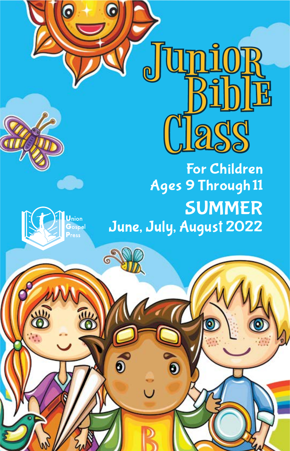

G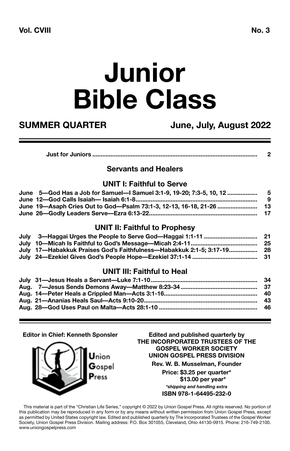# **Junior Bible Class**

**SUMMER QUARTER June, July, August 2022**

| Just for Juniors …………………………………………………………………………………… |  |
|---------------------------------------------------|--|
|                                                   |  |

#### **Servants and Healers**

#### **UNIT I: Faithful to Serve**

| June 5—God Has a Job for Samuel—I Samuel 3:1-9, 19-20: 7:3-5, 10, 12 ……………………………… |     |
|-----------------------------------------------------------------------------------|-----|
|                                                                                   | - 9 |
| June 19—Asaph Cries Out to God—Psalm 73:1-3, 12-13, 16-18, 21-26 ………………………… 13    |     |
|                                                                                   |     |
|                                                                                   |     |

#### **UNIT II: Faithful to Prophesy**

| July 3—Haggai Urges the People to Serve God—Haggai 1:1-11 …………………………………………………………… |  |
|-----------------------------------------------------------------------------------|--|
|                                                                                   |  |
| July _17—Habakkuk Praises God's Faithfulness—Habakkuk 2:1-5: 3:17-19  28          |  |
| July 24—Ezekiel Gives God's People Hope—Ezekiel 37:1-14 ………………………………………………………………… |  |

#### **UNIT III: Faithful to Heal**

**Editor in Chief: Kenneth Sponsler Edited and published quarterly by**



**THE INCORPORATED TRUSTEES OF THE GOSPEL WORKER SOCIETY UNION GOSPEL PRESS DIVISION Rev. W. B. Musselman, Founder**

> **Price: \$3.25 per quarter\* \$13.00 per year\*** *\*shipping and handling extra* **ISBN 978-1-64495-232-0**

This material is part of the "Christian Life Series," copyright © 2022 by Union Gospel Press. All rights reserved. No portion of this publication may be reproduced in any form or by any means without written permission from Union Gospel Press, except as permitted by United States copyright law. Edited and published quarterly by The Incorporated Trustees of the Gospel Worker Society, Union Gospel Press Division. Mailing address: P.O. Box 301055, Cleveland, Ohio 44130-0915. Phone: 216-749-2100. www.uniongospelpress.com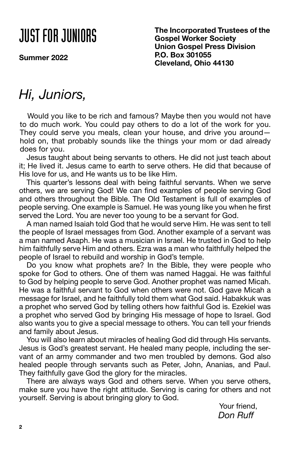## JUST FOR JUNIORS

**Summer 2022**

**The Incorporated Trustees of the Gospel Worker Society Union Gospel Press Division P.O. Box 301055 Cleveland, Ohio 44130**

### *Hi, Juniors,*

Would you like to be rich and famous? Maybe then you would not have to do much work. You could pay others to do a lot of the work for you. They could serve you meals, clean your house, and drive you around hold on, that probably sounds like the things your mom or dad already does for you.

Jesus taught about being servants to others. He did not just teach about it; He lived it. Jesus came to earth to serve others. He did that because of His love for us, and He wants us to be like Him.

This quarter's lessons deal with being faithful servants. When we serve others, we are serving God! We can find examples of people serving God and others throughout the Bible. The Old Testament is full of examples of people serving. One example is Samuel. He was young like you when he first served the Lord. You are never too young to be a servant for God.

A man named Isaiah told God that he would serve Him. He was sent to tell the people of Israel messages from God. Another example of a servant was a man named Asaph. He was a musician in Israel. He trusted in God to help him faithfully serve Him and others. Ezra was a man who faithfully helped the people of Israel to rebuild and worship in God's temple.

Do you know what prophets are? In the Bible, they were people who spoke for God to others. One of them was named Haggai. He was faithful to God by helping people to serve God. Another prophet was named Micah. He was a faithful servant to God when others were not. God gave Micah a message for Israel, and he faithfully told them what God said. Habakkuk was a prophet who served God by telling others how faithful God is. Ezekiel was a prophet who served God by bringing His message of hope to Israel. God also wants you to give a special message to others. You can tell your friends and family about Jesus.

You will also learn about miracles of healing God did through His servants. Jesus is God's greatest servant. He healed many people, including the servant of an army commander and two men troubled by demons. God also healed people through servants such as Peter, John, Ananias, and Paul. They faithfully gave God the glory for the miracles.

There are always ways God and others serve. When you serve others, make sure you have the right attitude. Serving is caring for others and not yourself. Serving is about bringing glory to God.

Your friend, *Don Ruff*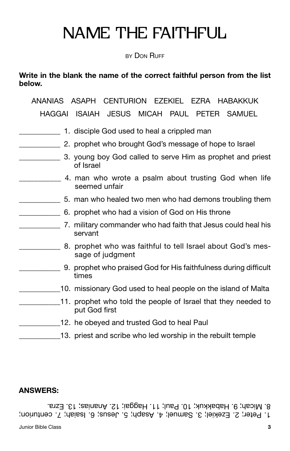### NAME THE FAITHFUL

**BY DON RUFF** 

**Write in the blank the name of the correct faithful person from the list below.** 

ANANIAS ASAPH CENTURION EZEKIEL EZRA HABAKKUK HAGGAI ISAIAH JESUS MICAH PAUL PETER SAMUEL

- 1. disciple God used to heal a crippled man
- \_\_\_\_\_\_\_\_\_\_\_ 2. prophet who brought God's message of hope to Israel
- **Example 2.** S. young boy God called to serve Him as prophet and priest of Israel
- \_\_\_\_\_\_\_\_\_\_\_ 4. man who wrote a psalm about trusting God when life seemed unfair
	- \_\_\_\_\_\_\_\_\_\_\_ 5. man who healed two men who had demons troubling them
- \_\_\_\_\_\_\_\_\_\_\_ 6. prophet who had a vision of God on His throne
- **The U.S. 2018 Studies 10 and Studies 10 and Studies 20 and Studies 20 and Studies 20 and Studies 20 and Studie** servant
- \_\_\_\_\_\_\_\_\_\_\_ 8. prophet who was faithful to tell Israel about God's message of judgment
- \_\_\_\_\_\_\_\_\_\_\_ 9. prophet who praised God for His faithfulness during difficult times
- 10. missionary God used to heal people on the island of Malta
- 11. prophet who told the people of Israel that they needed to put God first
- 12. he obeyed and trusted God to heal Paul
	- 13. priest and scribe who led worship in the rebuilt temple

### **ANSWERS:**

1. Peter; 2. Ezekiel; 3. Samuel; 4. Asaph; 5. Jesus; 6. Isaiah; 7. centurion; 8. Micah; 9. Habakkuk; 10. Paul; 11. Haggai; 12. Ananias; 13. Ezra.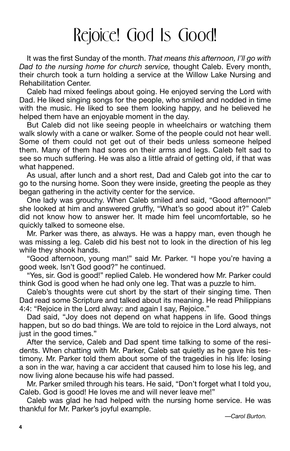### Rejoice! God Is Good!

It was the first Sunday of the month. *That means this afternoon, I'll go with Dad to the nursing home for church service,* thought Caleb. Every month, their church took a turn holding a service at the Willow Lake Nursing and Rehabilitation Center.

Caleb had mixed feelings about going. He enjoyed serving the Lord with Dad. He liked singing songs for the people, who smiled and nodded in time with the music. He liked to see them looking happy, and he believed he helped them have an enjoyable moment in the day.

But Caleb did not like seeing people in wheelchairs or watching them walk slowly with a cane or walker. Some of the people could not hear well. Some of them could not get out of their beds unless someone helped them. Many of them had sores on their arms and legs. Caleb felt sad to see so much suffering. He was also a little afraid of getting old, if that was what happened.

As usual, after lunch and a short rest, Dad and Caleb got into the car to go to the nursing home. Soon they were inside, greeting the people as they began gathering in the activity center for the service.

One lady was grouchy. When Caleb smiled and said, "Good afternoon!" she looked at him and answered gruffly, "What's so good about it?" Caleb did not know how to answer her. It made him feel uncomfortable, so he quickly talked to someone else.

Mr. Parker was there, as always. He was a happy man, even though he was missing a leg. Caleb did his best not to look in the direction of his leg while they shook hands.

"Good afternoon, young man!" said Mr. Parker. "I hope you're having a good week. Isn't God good?" he continued.

"Yes, sir. God is good!" replied Caleb. He wondered how Mr. Parker could think God is good when he had only one leg. That was a puzzle to him.

Caleb's thoughts were cut short by the start of their singing time. Then Dad read some Scripture and talked about its meaning. He read Philippians 4:4: "Rejoice in the Lord alway: and again I say, Rejoice."

Dad said, "Joy does not depend on what happens in life. Good things happen, but so do bad things. We are told to rejoice in the Lord always, not just in the good times."

After the service, Caleb and Dad spent time talking to some of the residents. When chatting with Mr. Parker, Caleb sat quietly as he gave his testimony. Mr. Parker told them about some of the tragedies in his life: losing a son in the war, having a car accident that caused him to lose his leg, and now living alone because his wife had passed.

Mr. Parker smiled through his tears. He said, "Don't forget what I told you, Caleb. God is good! He loves me and will never leave me!"

Caleb was glad he had helped with the nursing home service. He was thankful for Mr. Parker's joyful example.

*—Carol Burton.*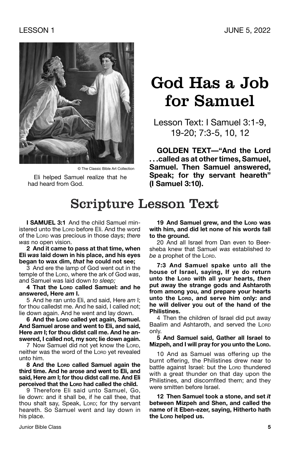

© The Classic Bible Art Collection

Eli helped Samuel realize that he had heard from God.

### God Has a Job for Samuel

Lesson Text: I Samuel 3:1-9, 19-20; 7:3-5, 10, 12

**GOLDEN TEXT—"And the Lord . . .called as at other times, Samuel, Samuel. Then Samuel answered, Speak; for thy servant heareth" (I Samuel 3:10).**

### Scripture Lesson Text

**I SAMUEL 3:1** And the child Samuel ministered unto the Lorp before Eli. And the word of the Lord was precious in those days; *there was* no open vision.

**2 And it came to pass at that time, when Eli** *was* **laid down in his place, and his eyes began to wax dim,** *that* **he could not see;**

3 And ere the lamp of God went out in the temple of the Lorp, where the ark of God was. and Samuel was laid down *to sleep;*

**4 That the Lord called Samuel: and he answered, Here** *am* **I.**

5 And he ran unto Eli, and said, Here *am* I; for thou calledst me. And he said, I called not; lie down again. And he went and lay down.

**6 And the Lord called yet again, Samuel. And Samuel arose and went to Eli, and said, Here** *am* **I; for thou didst call me. And he answered, I called not, my son; lie down again.**

7 Now Samuel did not yet know the Lord, neither was the word of the Lorp yet revealed unto him.

**8 And the Lord called Samuel again the third time. And he arose and went to Eli, and said, Here** *am* **I; for thou didst call me. And Eli perceived that the Lord had called the child.**

9 Therefore Eli said unto Samuel, Go, lie down: and it shall be, if he call thee, that thou shalt say, Speak, Lorp; for thy servant heareth. So Samuel went and lay down in his place.

19 And Samuel grew, and the Lord was **with him, and did let none of his words fall to the ground.**

20 And all Israel from Dan even to Beersheba knew that Samuel *was* established *to*  be a prophet of the Lord.

**7:3 And Samuel spake unto all the house of Israel, saying, If ye do return unto the Lord with all your hearts,** *then* **put away the strange gods and Ashtaroth from among you, and prepare your hearts unto the Lord, and serve him only: and he will deliver you out of the hand of the Philistines.**

4 Then the children of Israel did put away Baalim and Ashtaroth, and served the Lorp only.

**5 And Samuel said, Gather all Israel to Mizpeh, and I will pray for you unto the Lord.** 

10 And as Samuel was offering up the burnt offering, the Philistines drew near to battle against Israel: but the LORD thundered with a great thunder on that day upon the Philistines, and discomfited them; and they were smitten before Israel.

**12 Then Samuel took a stone, and set** *it*  **between Mizpeh and Shen, and called the name of it Eben-ezer, saying, Hitherto hath the Lord helped us.**